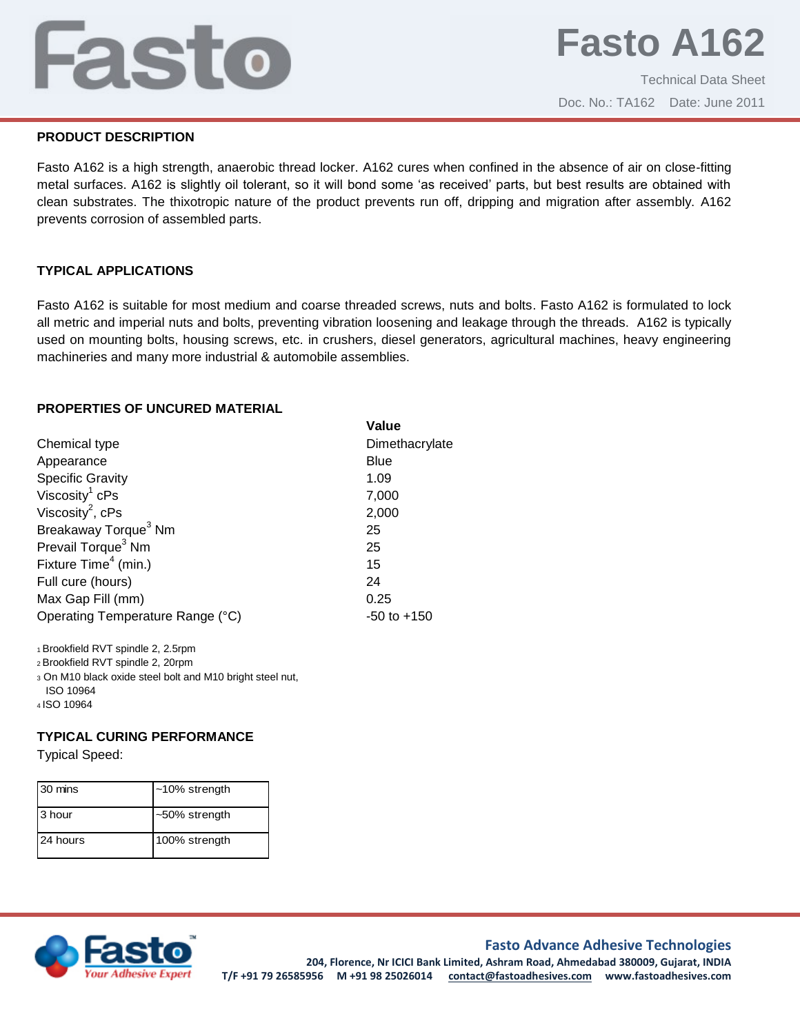## j

Technical Data Sheet Doc. No.: TA162 Date: June 2011

### **PRODUCT DESCRIPTION**

Fasto A162 is a high strength, anaerobic thread locker. A162 cures when confined in the absence of air on close-fitting metal surfaces. A162 is slightly oil tolerant, so it will bond some 'as received' parts, but best results are obtained with clean substrates. The thixotropic nature of the product prevents run off, dripping and migration after assembly. A162 prevents corrosion of assembled parts.

## **TYPICAL APPLICATIONS**

Fasto A162 is suitable for most medium and coarse threaded screws, nuts and bolts. Fasto A162 is formulated to lock all metric and imperial nuts and bolts, preventing vibration loosening and leakage through the threads. A162 is typically used on mounting bolts, housing screws, etc. in crushers, diesel generators, agricultural machines, heavy engineering machineries and many more industrial & automobile assemblies.

## **PROPERTIES OF UNCURED MATERIAL**

|                                  | Value           |
|----------------------------------|-----------------|
| Chemical type                    | Dimethacrylate  |
| Appearance                       | <b>Blue</b>     |
| <b>Specific Gravity</b>          | 1.09            |
| Viscosity <sup>1</sup> cPs       | 7,000           |
| Viscosity <sup>2</sup> , $cPs$   | 2,000           |
| Breakaway Torque <sup>3</sup> Nm | 25              |
| Prevail Torque <sup>3</sup> Nm   | 25              |
| Fixture Time <sup>4</sup> (min.) | 15              |
| Full cure (hours)                | 24              |
| Max Gap Fill (mm)                | 0.25            |
| Operating Temperature Range (°C) | $-50$ to $+150$ |
|                                  |                 |

<sup>1</sup>Brookfield RVT spindle 2, 2.5rpm

<sup>2</sup>Brookfield RVT spindle 2, 20rpm

<sup>3</sup> On M10 black oxide steel bolt and M10 bright steel nut, ISO 10964

<sup>4</sup> ISO 10964

## **TYPICAL CURING PERFORMANCE**

Typical Speed:

| 30 mins  | $~10\%$ strength |
|----------|------------------|
| 3 hour   | ~50% strength    |
| 24 hours | 100% strength    |



**Fasto Advance Adhesive Technologies 204, Florence, Nr ICICI Bank Limited, Ashram Road, Ahmedabad 380009, Gujarat, INDIA T/F +91 79 26585956 M +91 98 25026014 contact@fastoadhesives.com www.fastoadhesives.com**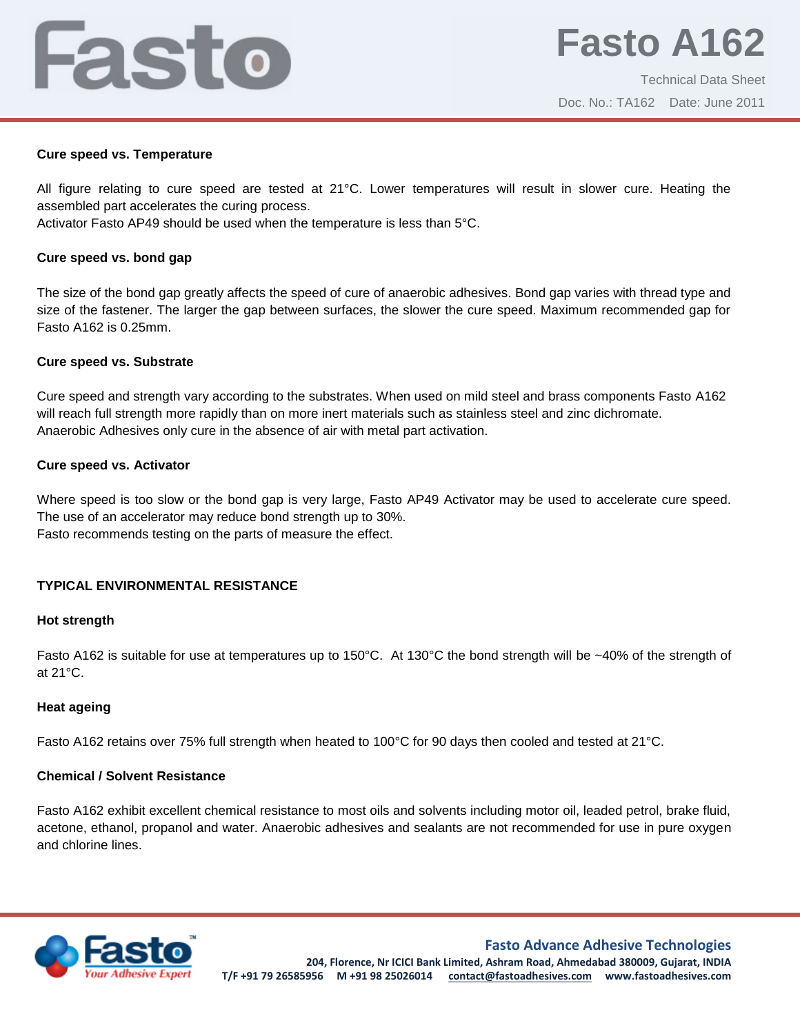## Fasto

Technical Data Sheet Doc. No.: TA162 Date: June 2011

#### **Cure speed vs. Temperature**

All figure relating to cure speed are tested at 21°C. Lower temperatures will result in slower cure. Heating the assembled part accelerates the curing process.

Activator Fasto AP49 should be used when the temperature is less than 5°C.

### **Cure speed vs. bond gap**

The size of the bond gap greatly affects the speed of cure of anaerobic adhesives. Bond gap varies with thread type and size of the fastener. The larger the gap between surfaces, the slower the cure speed. Maximum recommended gap for Fasto A162 is 0.25mm.

#### **Cure speed vs. Substrate**

Cure speed and strength vary according to the substrates. When used on mild steel and brass components Fasto A162 will reach full strength more rapidly than on more inert materials such as stainless steel and zinc dichromate. Anaerobic Adhesives only cure in the absence of air with metal part activation.

#### **Cure speed vs. Activator**

Where speed is too slow or the bond gap is very large, Fasto AP49 Activator may be used to accelerate cure speed. The use of an accelerator may reduce bond strength up to 30%. Fasto recommends testing on the parts of measure the effect.

## **TYPICAL ENVIRONMENTAL RESISTANCE**

#### **Hot strength**

Fasto A162 is suitable for use at temperatures up to 150°C. At 130°C the bond strength will be ~40% of the strength of at 21°C.

## **Heat ageing**

Fasto A162 retains over 75% full strength when heated to 100°C for 90 days then cooled and tested at 21°C.

## **Chemical / Solvent Resistance**

Fasto A162 exhibit excellent chemical resistance to most oils and solvents including motor oil, leaded petrol, brake fluid, acetone, ethanol, propanol and water. Anaerobic adhesives and sealants are not recommended for use in pure oxygen and chlorine lines.



**Fasto Advance Adhesive Technologies 204, Florence, Nr ICICI Bank Limited, Ashram Road, Ahmedabad 380009, Gujarat, INDIA T/F +91 79 26585956 M +91 98 25026014 contact@fastoadhesives.com www.fastoadhesives.com**